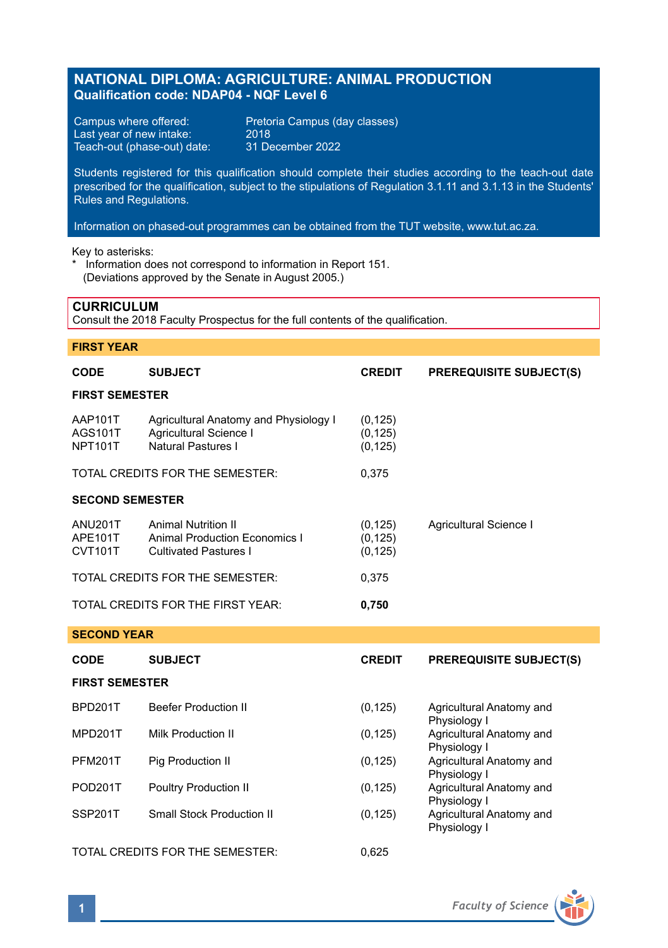# **NATIONAL DIPLOMA: AGRICULTURE: ANIMAL PRODUCTION Qualification code: NDAP04 - NQF Level 6**

Last year of new intake: 2018<br>Teach-out (phase-out) date: 31 December 2022 Teach-out (phase-out) date:

Campus where offered: Pretoria Campus (day classes)<br>Last year of new intake: 2018

Students registered for this qualification should complete their studies according to the teach-out date prescribed for the qualification, subject to the stipulations of Regulation 3.1.11 and 3.1.13 in the Students' Rules and Regulations.

Information on phased-out programmes can be obtained from the TUT website, www.tut.ac.za.

Key to asterisks:

\* Information does not correspond to information in Report 151. (Deviations approved by the Senate in August 2005.)

### **CURRICULUM**

Consult the 2018 Faculty Prospectus for the full contents of the qualification.

### **FIRST YEAR**

| CODE                                        | <b>SUBJECT</b>                                                                                     | <b>CREDIT</b>                    | <b>PREREQUISITE SUBJECT(S)</b>                           |  |  |
|---------------------------------------------|----------------------------------------------------------------------------------------------------|----------------------------------|----------------------------------------------------------|--|--|
| <b>FIRST SEMESTER</b>                       |                                                                                                    |                                  |                                                          |  |  |
| AAP101T<br><b>AGS101T</b><br><b>NPT101T</b> | Agricultural Anatomy and Physiology I<br>Agricultural Science I<br>Natural Pastures I              | (0, 125)<br>(0, 125)<br>(0, 125) |                                                          |  |  |
|                                             | TOTAL CREDITS FOR THE SEMESTER:                                                                    | 0,375                            |                                                          |  |  |
| <b>SECOND SEMESTER</b>                      |                                                                                                    |                                  |                                                          |  |  |
| ANU201T<br>APE101T<br><b>CVT101T</b>        | <b>Animal Nutrition II</b><br><b>Animal Production Economics I</b><br><b>Cultivated Pastures I</b> | (0, 125)<br>(0, 125)<br>(0, 125) | Agricultural Science I                                   |  |  |
|                                             | TOTAL CREDITS FOR THE SEMESTER:                                                                    | 0,375                            |                                                          |  |  |
| TOTAL CREDITS FOR THE FIRST YEAR:           |                                                                                                    | 0,750                            |                                                          |  |  |
| <b>SECOND YEAR</b>                          |                                                                                                    |                                  |                                                          |  |  |
| <b>CODE</b>                                 | <b>SUBJECT</b>                                                                                     | <b>CREDIT</b>                    | <b>PREREQUISITE SUBJECT(S)</b>                           |  |  |
| <b>FIRST SEMESTER</b>                       |                                                                                                    |                                  |                                                          |  |  |
| BPD201T                                     | <b>Beefer Production II</b>                                                                        | (0, 125)                         | Agricultural Anatomy and                                 |  |  |
| MPD201T                                     | <b>Milk Production II</b>                                                                          | (0, 125)                         | Physiology I<br>Agricultural Anatomy and                 |  |  |
| <b>PFM201T</b>                              | Pig Production II                                                                                  | (0, 125)                         | Physiology I<br>Agricultural Anatomy and                 |  |  |
| <b>POD201T</b>                              | Poultry Production II                                                                              | (0, 125)                         | Physiology I<br>Agricultural Anatomy and<br>Physiology I |  |  |
| SSP201T                                     | <b>Small Stock Production II</b>                                                                   | (0, 125)                         | Agricultural Anatomy and<br>Physiology I                 |  |  |
| TOTAL CREDITS FOR THE SEMESTER:             |                                                                                                    |                                  |                                                          |  |  |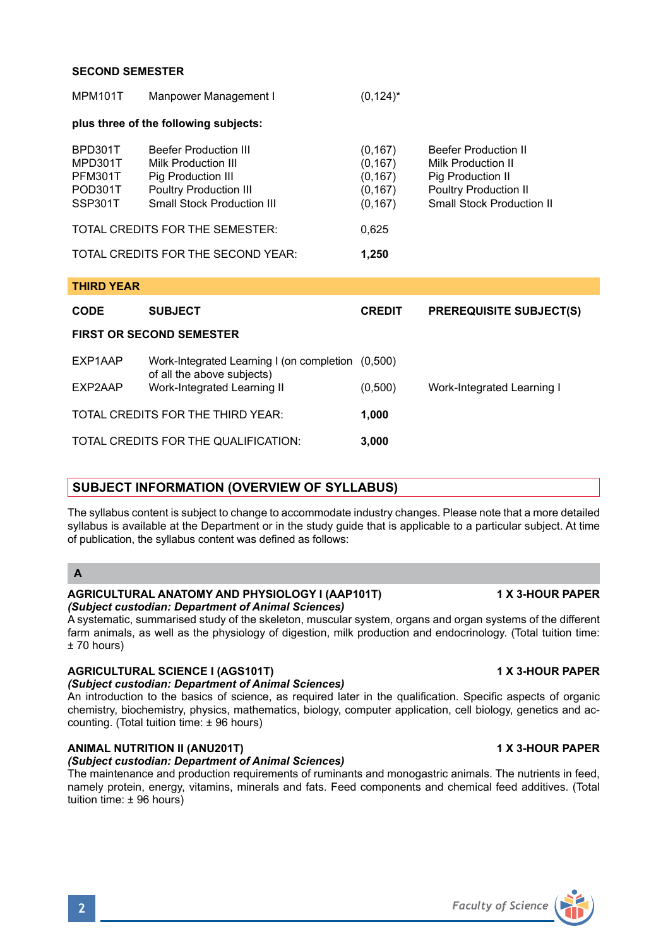#### **SECOND SEMESTER**

| <b>MPM101T</b>                                             | Manpower Management I                                                                                                                                                                     | $(0, 124)^*$                                                      |                                                                                                                                            |  |  |  |
|------------------------------------------------------------|-------------------------------------------------------------------------------------------------------------------------------------------------------------------------------------------|-------------------------------------------------------------------|--------------------------------------------------------------------------------------------------------------------------------------------|--|--|--|
|                                                            | plus three of the following subjects:                                                                                                                                                     |                                                                   |                                                                                                                                            |  |  |  |
| BPD301T<br>MPD301T<br><b>PFM301T</b><br>POD301T<br>SSP301T | <b>Beefer Production III</b><br><b>Milk Production III</b><br>Pig Production III<br><b>Poultry Production III</b><br><b>Small Stock Production III</b><br>TOTAL CREDITS FOR THE SEMESTER: | (0, 167)<br>(0, 167)<br>(0, 167)<br>(0, 167)<br>(0, 167)<br>0,625 | <b>Beefer Production II</b><br>Milk Production II<br>Pig Production II<br><b>Poultry Production II</b><br><b>Small Stock Production II</b> |  |  |  |
|                                                            | TOTAL CREDITS FOR THE SECOND YEAR:                                                                                                                                                        | 1,250                                                             |                                                                                                                                            |  |  |  |
| <b>THIRD YEAR</b>                                          |                                                                                                                                                                                           |                                                                   |                                                                                                                                            |  |  |  |
| <b>CODE</b>                                                | <b>SUBJECT</b>                                                                                                                                                                            | <b>CREDIT</b>                                                     | <b>PREREQUISITE SUBJECT(S)</b>                                                                                                             |  |  |  |
| <b>FIRST OR SECOND SEMESTER</b>                            |                                                                                                                                                                                           |                                                                   |                                                                                                                                            |  |  |  |
| EXP1AAP                                                    | Work-Integrated Learning I (on completion (0,500)<br>of all the above subjects)                                                                                                           |                                                                   |                                                                                                                                            |  |  |  |
| EXP2AAP                                                    | Work-Integrated Learning II                                                                                                                                                               | (0,500)                                                           | Work-Integrated Learning I                                                                                                                 |  |  |  |
| TOTAL CREDITS FOR THE THIRD YEAR:                          |                                                                                                                                                                                           | 1,000                                                             |                                                                                                                                            |  |  |  |
| TOTAL CREDITS FOR THE QUALIFICATION:                       |                                                                                                                                                                                           | 3.000                                                             |                                                                                                                                            |  |  |  |

### **SUBJECT INFORMATION (OVERVIEW OF SYLLABUS)**

The syllabus content is subject to change to accommodate industry changes. Please note that a more detailed syllabus is available at the Department or in the study quide that is applicable to a particular subject. At time of publication, the syllabus content was defined as follows:

## **A**

#### **AGRICULTURAL ANATOMY AND PHYSIOLOGY I (AAP101T) 1 X 3-HOUR PAPER** *(Subject custodian: Department of Animal Sciences)*

A systematic, summarised study of the skeleton, muscular system, organs and organ systems of the different farm animals, as well as the physiology of digestion, milk production and endocrinology. (Total tuition time: ± 70 hours)

## **AGRICULTURAL SCIENCE I (AGS101T) 1 X 3-HOUR PAPER**

## *(Subject custodian: Department of Animal Sciences)*

An introduction to the basics of science, as required later in the qualification. Specific aspects of organic chemistry, biochemistry, physics, mathematics, biology, computer application, cell biology, genetics and accounting. (Total tuition time: ± 96 hours)

# **ANIMAL NUTRITION II (ANU201T) 1 X 3-HOUR PAPER**

# *(Subject custodian: Department of Animal Sciences)*

The maintenance and production requirements of ruminants and monogastric animals. The nutrients in feed, namely protein, energy, vitamins, minerals and fats. Feed components and chemical feed additives. (Total tuition time: ± 96 hours)

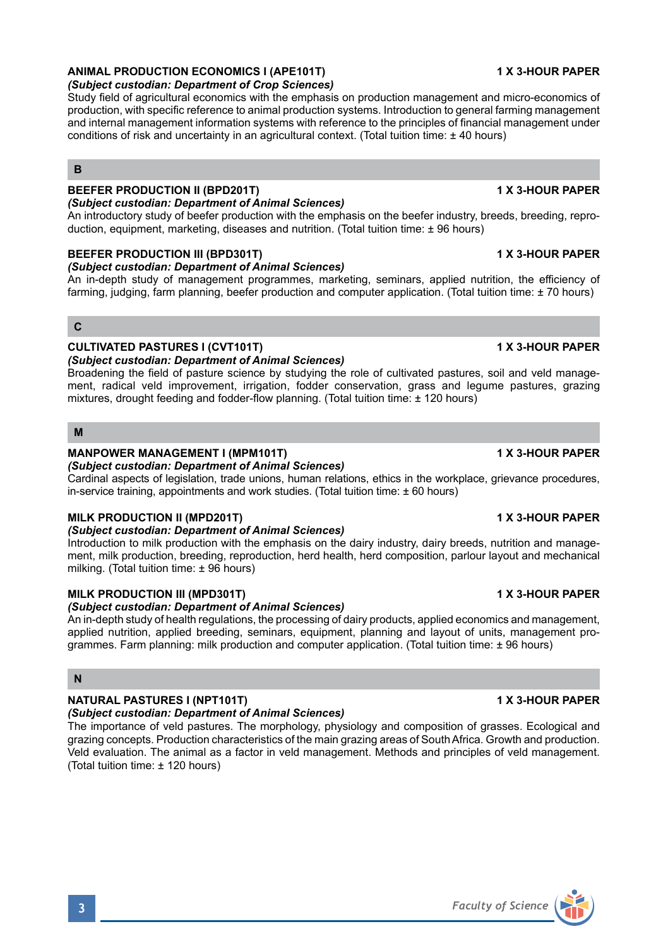# **ANIMAL PRODUCTION ECONOMICS I (APE101T) 1 X 3-HOUR PAPER**

#### *(Subject custodian: Department of Crop Sciences)*

Study field of agricultural economics with the emphasis on production management and micro-economics of production, with specific reference to animal production systems. Introduction to general farming management and internal management information systems with reference to the principles of financial management under conditions of risk and uncertainty in an agricultural context. (Total tuition time: ± 40 hours)

#### **B**

## **BEEFER PRODUCTION II (BPD201T) 1 X 3-HOUR PAPER**

### *(Subject custodian: Department of Animal Sciences)*

An introductory study of beefer production with the emphasis on the beefer industry, breeds, breeding, reproduction, equipment, marketing, diseases and nutrition. (Total tuition time: ± 96 hours)

#### **BEEFER PRODUCTION III (BPD301T) 1 X 3-HOUR PAPER**

#### *(Subject custodian: Department of Animal Sciences)*

An in-depth study of management programmes, marketing, seminars, applied nutrition, the efficiency of farming, judging, farm planning, beefer production and computer application. (Total tuition time: ± 70 hours)

### **C**

### **CULTIVATED PASTURES I (CVT101T) 1 X 3-HOUR PAPER**

#### *(Subject custodian: Department of Animal Sciences)*

Broadening the field of pasture science by studying the role of cultivated pastures, soil and veld management, radical veld improvement, irrigation, fodder conservation, grass and legume pastures, grazing mixtures, drought feeding and fodder-flow planning. (Total tuition time: ± 120 hours)

#### **M**

### **MANPOWER MANAGEMENT I (MPM101T) 1 X 3-HOUR PAPER**

#### *(Subject custodian: Department of Animal Sciences)*

Cardinal aspects of legislation, trade unions, human relations, ethics in the workplace, grievance procedures, in-service training, appointments and work studies. (Total tuition time: ± 60 hours)

### **MILK PRODUCTION II (MPD201T) 1 X 3-HOUR PAPER**

### *(Subject custodian: Department of Animal Sciences)*

Introduction to milk production with the emphasis on the dairy industry, dairy breeds, nutrition and management, milk production, breeding, reproduction, herd health, herd composition, parlour layout and mechanical milking. (Total tuition time: ± 96 hours)

### **MILK PRODUCTION III (MPD301T) 1 X 3-HOUR PAPER**

# *(Subject custodian: Department of Animal Sciences)*

An in-depth study of health regulations, the processing of dairy products, applied economics and management, applied nutrition, applied breeding, seminars, equipment, planning and layout of units, management programmes. Farm planning: milk production and computer application. (Total tuition time: ± 96 hours)

### **N**

#### **NATURAL PASTURES I (NPT101T) 1 X 3-HOUR PAPER**

#### *(Subject custodian: Department of Animal Sciences)*

The importance of veld pastures. The morphology, physiology and composition of grasses. Ecological and grazing concepts. Production characteristics of the main grazing areas of South Africa. Growth and production. Veld evaluation. The animal as a factor in veld management. Methods and principles of veld management. (Total tuition time: ± 120 hours)